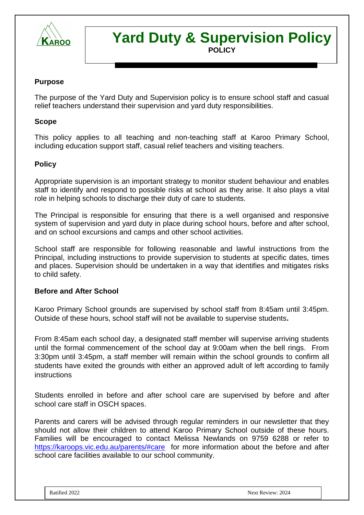

# **Yard Duty & Supervision Policy POLICY**

#### **Purpose**

The purpose of the Yard Duty and Supervision policy is to ensure school staff and casual relief teachers understand their supervision and yard duty responsibilities.

#### **Scope**

This policy applies to all teaching and non-teaching staff at Karoo Primary School, including education support staff, casual relief teachers and visiting teachers.

#### **Policy**

Appropriate supervision is an important strategy to monitor student behaviour and enables staff to identify and respond to possible risks at school as they arise. It also plays a vital role in helping schools to discharge their duty of care to students.

The Principal is responsible for ensuring that there is a well organised and responsive system of supervision and yard duty in place during school hours, before and after school, and on school excursions and camps and other school activities.

School staff are responsible for following reasonable and lawful instructions from the Principal, including instructions to provide supervision to students at specific dates, times and places. Supervision should be undertaken in a way that identifies and mitigates risks to child safety.

#### **Before and After School**

Karoo Primary School grounds are supervised by school staff from 8:45am until 3:45pm. Outside of these hours, school staff will not be available to supervise students**.** 

From 8:45am each school day, a designated staff member will supervise arriving students until the formal commencement of the school day at 9:00am when the bell rings. From 3:30pm until 3:45pm, a staff member will remain within the school grounds to confirm all students have exited the grounds with either an approved adult of left according to family instructions

Students enrolled in before and after school care are supervised by before and after school care staff in OSCH spaces.

Parents and carers will be advised through regular reminders in our newsletter that they should not allow their children to attend Karoo Primary School outside of these hours. Families will be encouraged to contact Melissa Newlands on 9759 6288 or refer to <https://karoops.vic.edu.au/parents/#care>for more information about the before and after school care facilities available to our school community.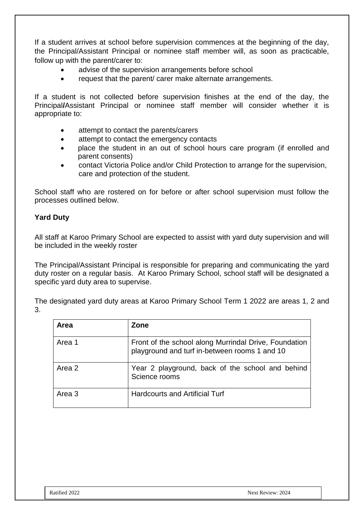If a student arrives at school before supervision commences at the beginning of the day, the Principal/Assistant Principal or nominee staff member will, as soon as practicable, follow up with the parent/carer to:

- advise of the supervision arrangements before school
- request that the parent/ carer make alternate arrangements.

If a student is not collected before supervision finishes at the end of the day, the Principal**/**Assistant Principal or nominee staff member will consider whether it is appropriate to:

- attempt to contact the parents/carers
- attempt to contact the emergency contacts
- place the student in an out of school hours care program (if enrolled and parent consents)
- contact Victoria Police and/or Child Protection to arrange for the supervision, care and protection of the student.

School staff who are rostered on for before or after school supervision must follow the processes outlined below.

# **Yard Duty**

All staff at Karoo Primary School are expected to assist with yard duty supervision and will be included in the weekly roster

The Principal/Assistant Principal is responsible for preparing and communicating the yard duty roster on a regular basis. At Karoo Primary School, school staff will be designated a specific yard duty area to supervise.

The designated yard duty areas at Karoo Primary School Term 1 2022 are areas 1, 2 and 3.

| Area   | Zone                                                                                                   |
|--------|--------------------------------------------------------------------------------------------------------|
| Area 1 | Front of the school along Murrindal Drive, Foundation<br>playground and turf in-between rooms 1 and 10 |
| Area 2 | Year 2 playground, back of the school and behind<br>Science rooms                                      |
| Area 3 | <b>Hardcourts and Artificial Turf</b>                                                                  |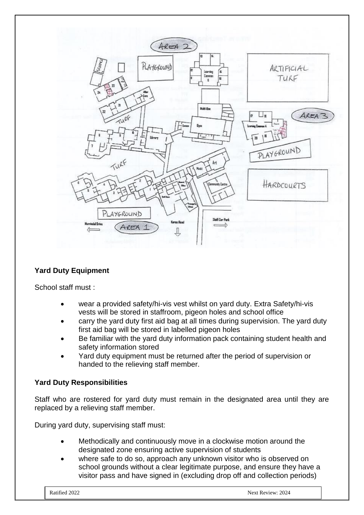

# **Yard Duty Equipment**

School staff must :

- wear a provided safety/hi-vis vest whilst on yard duty. Extra Safety/hi-vis vests will be stored in staffroom, pigeon holes and school office
- carry the yard duty first aid bag at all times during supervision. The yard duty first aid bag will be stored in labelled pigeon holes
- Be familiar with the yard duty information pack containing student health and safety information stored
- Yard duty equipment must be returned after the period of supervision or handed to the relieving staff member.

#### **Yard Duty Responsibilities**

Staff who are rostered for yard duty must remain in the designated area until they are replaced by a relieving staff member.

During yard duty, supervising staff must:

- Methodically and continuously move in a clockwise motion around the designated zone ensuring active supervision of students
- where safe to do so, approach any unknown visitor who is observed on school grounds without a clear legitimate purpose, and ensure they have a visitor pass and have signed in (excluding drop off and collection periods)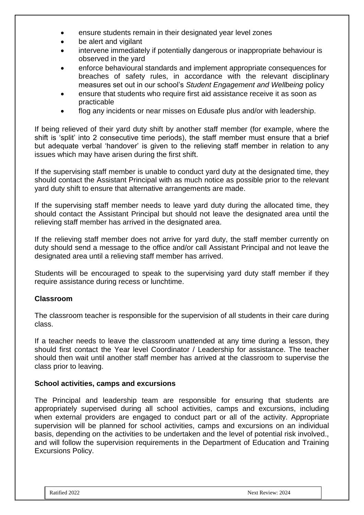- ensure students remain in their designated year level zones
- be alert and vigilant
- intervene immediately if potentially dangerous or inappropriate behaviour is observed in the yard
- enforce behavioural standards and implement appropriate consequences for breaches of safety rules, in accordance with the relevant disciplinary measures set out in our school's *Student Engagement and Wellbeing* policy
- ensure that students who require first aid assistance receive it as soon as practicable
- flog any incidents or near misses on Edusafe plus and/or with leadership.

If being relieved of their yard duty shift by another staff member (for example, where the shift is 'split' into 2 consecutive time periods), the staff member must ensure that a brief but adequate verbal 'handover' is given to the relieving staff member in relation to any issues which may have arisen during the first shift.

If the supervising staff member is unable to conduct yard duty at the designated time, they should contact the Assistant Principal with as much notice as possible prior to the relevant yard duty shift to ensure that alternative arrangements are made.

If the supervising staff member needs to leave yard duty during the allocated time, they should contact the Assistant Principal but should not leave the designated area until the relieving staff member has arrived in the designated area.

If the relieving staff member does not arrive for yard duty, the staff member currently on duty should send a message to the office and/or call Assistant Principal and not leave the designated area until a relieving staff member has arrived.

Students will be encouraged to speak to the supervising yard duty staff member if they require assistance during recess or lunchtime.

#### **Classroom**

The classroom teacher is responsible for the supervision of all students in their care during class.

If a teacher needs to leave the classroom unattended at any time during a lesson, they should first contact the Year level Coordinator / Leadership for assistance. The teacher should then wait until another staff member has arrived at the classroom to supervise the class prior to leaving.

#### **School activities, camps and excursions**

The Principal and leadership team are responsible for ensuring that students are appropriately supervised during all school activities, camps and excursions, including when external providers are engaged to conduct part or all of the activity. Appropriate supervision will be planned for school activities, camps and excursions on an individual basis, depending on the activities to be undertaken and the level of potential risk involved., and will follow the supervision requirements in the Department of Education and Training Excursions Policy.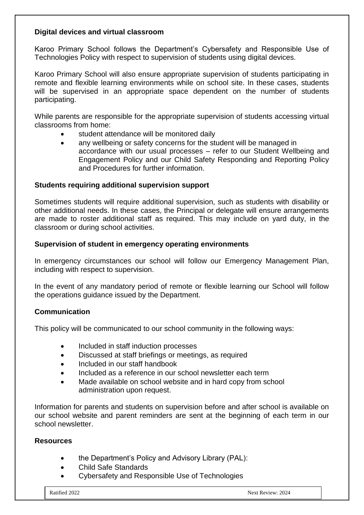#### **Digital devices and virtual classroom**

Karoo Primary School follows the Department's Cybersafety and Responsible Use of Technologies Policy with respect to supervision of students using digital devices.

Karoo Primary School will also ensure appropriate supervision of students participating in remote and flexible learning environments while on school site. In these cases, students will be supervised in an appropriate space dependent on the number of students participating.

While parents are responsible for the appropriate supervision of students accessing virtual classrooms from home:

- student attendance will be monitored daily
- any wellbeing or safety concerns for the student will be managed in accordance with our usual processes – refer to our Student Wellbeing and Engagement Policy and our Child Safety Responding and Reporting Policy and Procedures for further information.

# **Students requiring additional supervision support**

Sometimes students will require additional supervision, such as students with disability or other additional needs. In these cases, the Principal or delegate will ensure arrangements are made to roster additional staff as required. This may include on yard duty, in the classroom or during school activities.

#### **Supervision of student in emergency operating environments**

In emergency circumstances our school will follow our Emergency Management Plan, including with respect to supervision.

In the event of any mandatory period of remote or flexible learning our School will follow the operations guidance issued by the Department.

# **Communication**

This policy will be communicated to our school community in the following ways:

- Included in staff induction processes
- Discussed at staff briefings or meetings, as required
- Included in our staff handbook
- Included as a reference in our school newsletter each term
- Made available on school website and in hard copy from school administration upon request.

Information for parents and students on supervision before and after school is available on our school website and parent reminders are sent at the beginning of each term in our school newsletter.

#### **Resources**

- the Department's Policy and Advisory Library (PAL):
- Child Safe Standards
- Cybersafety and Responsible Use of Technologies